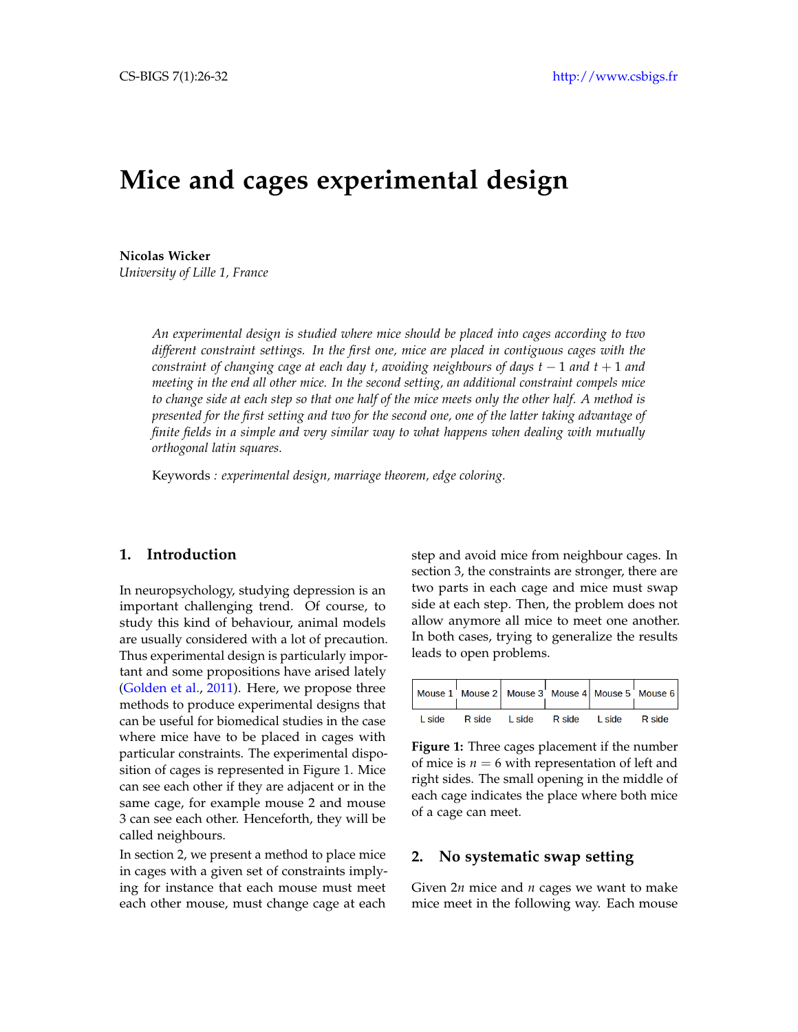# **Mice and cages experimental design**

**Nicolas Wicker** *University of Lille 1, France*

> *An experimental design is studied where mice should be placed into cages according to two different constraint settings. In the first one, mice are placed in contiguous cages with the constraint of changing cage at each day t, avoiding neighbours of days t* − 1 *and t* + 1 *and meeting in the end all other mice. In the second setting, an additional constraint compels mice to change side at each step so that one half of the mice meets only the other half. A method is presented for the first setting and two for the second one, one of the latter taking advantage of finite fields in a simple and very similar way to what happens when dealing with mutually orthogonal latin squares.*

Keywords *: experimental design, marriage theorem, edge coloring.*

#### **1. Introduction**

In neuropsychology, studying depression is an important challenging trend. Of course, to study this kind of behaviour, animal models are usually considered with a lot of precaution. Thus experimental design is particularly important and some propositions have arised lately [\(Golden et al.,](#page-5-0) [2011\)](#page-5-0). Here, we propose three methods to produce experimental designs that can be useful for biomedical studies in the case where mice have to be placed in cages with particular constraints. The experimental disposition of cages is represented in Figure [1.](#page-0-0) Mice can see each other if they are adjacent or in the same cage, for example mouse 2 and mouse 3 can see each other. Henceforth, they will be called neighbours.

In section 2, we present a method to place mice in cages with a given set of constraints implying for instance that each mouse must meet each other mouse, must change cage at each step and avoid mice from neighbour cages. In section 3, the constraints are stronger, there are two parts in each cage and mice must swap side at each step. Then, the problem does not allow anymore all mice to meet one another. In both cases, trying to generalize the results leads to open problems.

<span id="page-0-0"></span>

|  |                                     |  | Mouse $1'$ Mouse 2 Mouse 3 Mouse 4 Mouse 5 Mouse 6 |
|--|-------------------------------------|--|----------------------------------------------------|
|  | Lside Rside Lside Rside Lside Rside |  |                                                    |

**Figure 1:** Three cages placement if the number of mice is  $n = 6$  with representation of left and right sides. The small opening in the middle of each cage indicates the place where both mice of a cage can meet.

# **2. No systematic swap setting**

Given 2*n* mice and *n* cages we want to make mice meet in the following way. Each mouse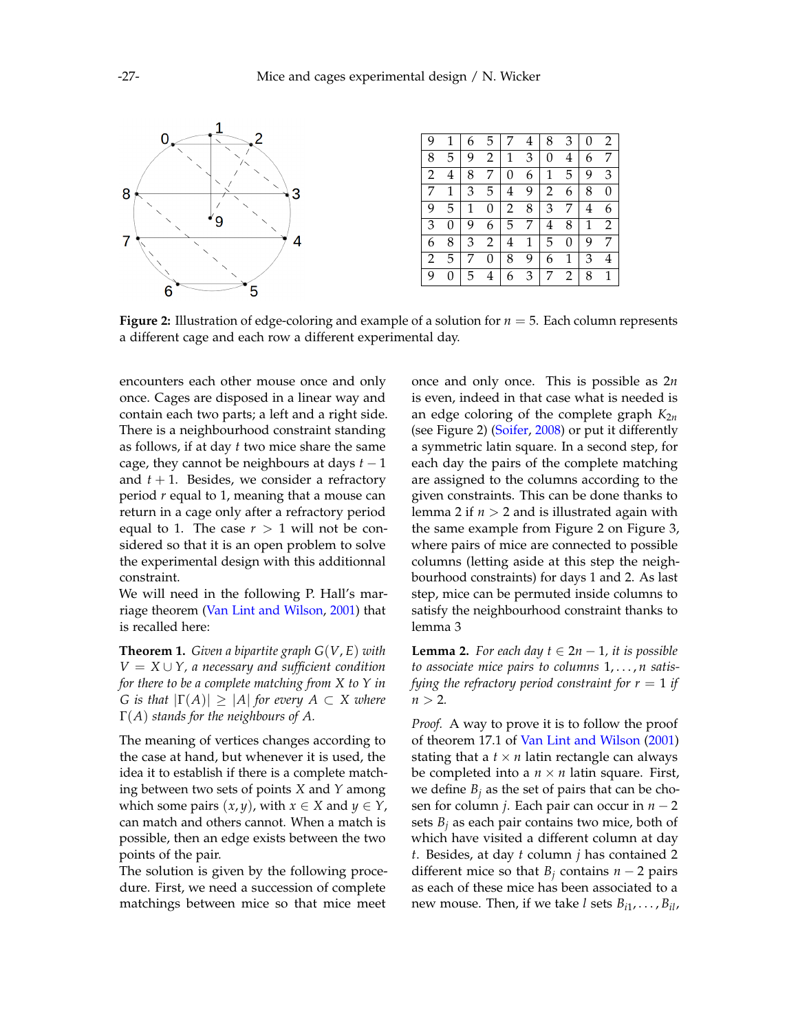<span id="page-1-0"></span>

**Figure 2:** Illustration of edge-coloring and example of a solution for *n* = 5. Each column represents a different cage and each row a different experimental day.

encounters each other mouse once and only once. Cages are disposed in a linear way and contain each two parts; a left and a right side. There is a neighbourhood constraint standing as follows, if at day *t* two mice share the same cage, they cannot be neighbours at days  $t - 1$ and  $t + 1$ . Besides, we consider a refractory period *r* equal to 1, meaning that a mouse can return in a cage only after a refractory period equal to 1. The case  $r > 1$  will not be considered so that it is an open problem to solve the experimental design with this additionnal constraint.

We will need in the following P. Hall's marriage theorem [\(Van Lint and Wilson,](#page-6-0) [2001\)](#page-6-0) that is recalled here:

<span id="page-1-2"></span>**Theorem 1.** *Given a bipartite graph G*(*V*, *E*) *with*  $V = X \cup Y$ , a necessary and sufficient condition *for there to be a complete matching from X to Y in G is that*  $|\Gamma(A)| \geq |A|$  *for every*  $A \subset X$  *where* Γ(*A*) *stands for the neighbours of A.*

The meaning of vertices changes according to the case at hand, but whenever it is used, the idea it to establish if there is a complete matching between two sets of points *X* and *Y* among which some pairs  $(x, y)$ , with  $x \in X$  and  $y \in Y$ , can match and others cannot. When a match is possible, then an edge exists between the two points of the pair.

The solution is given by the following procedure. First, we need a succession of complete matchings between mice so that mice meet

once and only once. This is possible as 2*n* is even, indeed in that case what is needed is an edge coloring of the complete graph  $K_{2n}$ (see Figure [2\)](#page-1-0) [\(Soifer,](#page-6-1) [2008\)](#page-6-1) or put it differently a symmetric latin square. In a second step, for each day the pairs of the complete matching are assigned to the columns according to the given constraints. This can be done thanks to lemma [2](#page-1-1) if  $n > 2$  and is illustrated again with the same example from Figure [2](#page-1-0) on Figure [3,](#page-2-0) where pairs of mice are connected to possible columns (letting aside at this step the neighbourhood constraints) for days 1 and 2. As last step, mice can be permuted inside columns to satisfy the neighbourhood constraint thanks to lemma [3](#page-2-1)

<span id="page-1-1"></span>**Lemma 2.** *For each day*  $t \in 2n - 1$ *, it is possible to associate mice pairs to columns* 1, . . . , *n satisfying the refractory period constraint for*  $r = 1$  *if*  $n > 2$ .

*Proof.* A way to prove it is to follow the proof of theorem 17.1 of [Van Lint and Wilson](#page-6-0) [\(2001\)](#page-6-0) stating that a  $t \times n$  latin rectangle can always be completed into a  $n \times n$  latin square. First, we define  $B_i$  as the set of pairs that can be chosen for column *j*. Each pair can occur in *n* − 2 sets  $B_j$  as each pair contains two mice, both of which have visited a different column at day *t*. Besides, at day *t* column *j* has contained 2 different mice so that  $B_j$  contains  $n-2$  pairs as each of these mice has been associated to a new mouse. Then, if we take *l* sets *Bi*<sup>1</sup> , . . . , *Bil*,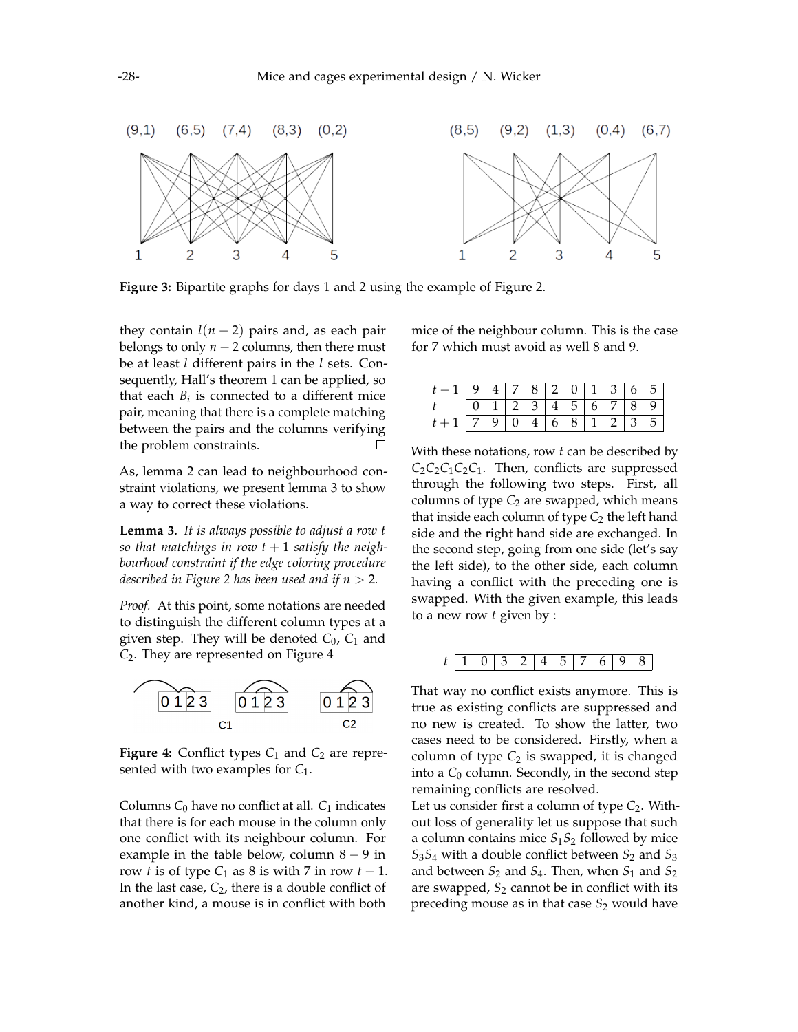<span id="page-2-0"></span>

**Figure 3:** Bipartite graphs for days 1 and 2 using the example of Figure [2.](#page-1-0)

they contain  $l(n-2)$  pairs and, as each pair belongs to only  $n-2$  columns, then there must be at least *l* different pairs in the *l* sets. Consequently, Hall's theorem [1](#page-1-2) can be applied, so that each  $B_i$  is connected to a different mice pair, meaning that there is a complete matching between the pairs and the columns verifying the problem constraints.  $\Box$ 

As, lemma [2](#page-1-1) can lead to neighbourhood constraint violations, we present lemma [3](#page-2-1) to show a way to correct these violations.

<span id="page-2-1"></span>**Lemma 3.** *It is always possible to adjust a row t* so that matchings in row  $t + 1$  satisfy the neigh*bourhood constraint if the edge coloring procedure described in Figure* [2](#page-1-0) *has been used and if*  $n > 2$ *.* 

*Proof.* At this point, some notations are needed to distinguish the different column types at a given step. They will be denoted *C*0, *C*<sup>1</sup> and *C*2. They are represented on Figure [4](#page-2-2)

<span id="page-2-2"></span>

**Figure 4:** Conflict types  $C_1$  and  $C_2$  are represented with two examples for *C*1.

Columns  $C_0$  have no conflict at all.  $C_1$  indicates that there is for each mouse in the column only one conflict with its neighbour column. For example in the table below, column  $8 - 9$  in row *t* is of type  $C_1$  as 8 is with 7 in row  $t - 1$ . In the last case,  $C_2$ , there is a double conflict of another kind, a mouse is in conflict with both

mice of the neighbour column. This is the case for 7 which must avoid as well 8 and 9.

| $\begin{array}{c cccccccc} t-1 & 9 & 4 & 7 & 8 & 2 & 0 & 1 & 3 & 6 & 5 \\ \hline t & 0 & 1 & 2 & 3 & 4 & 5 & 6 & 7 & 8 & 9 \end{array}$ |  |  |  |  |  |
|-----------------------------------------------------------------------------------------------------------------------------------------|--|--|--|--|--|
|                                                                                                                                         |  |  |  |  |  |
| $t+1$ 7 9 0 4 6 8 1 2 3 5                                                                                                               |  |  |  |  |  |

With these notations, row *t* can be described by  $C_2C_2C_1C_2C_1$ . Then, conflicts are suppressed through the following two steps. First, all columns of type  $C_2$  are swapped, which means that inside each column of type  $C_2$  the left hand side and the right hand side are exchanged. In the second step, going from one side (let's say the left side), to the other side, each column having a conflict with the preceding one is swapped. With the given example, this leads to a new row *t* given by :

*t* 1 0 3 2 4 5 7 6 9 8

That way no conflict exists anymore. This is true as existing conflicts are suppressed and no new is created. To show the latter, two cases need to be considered. Firstly, when a column of type  $C_2$  is swapped, it is changed into a  $C_0$  column. Secondly, in the second step remaining conflicts are resolved.

Let us consider first a column of type  $C_2$ . Without loss of generality let us suppose that such a column contains mice *S*1*S*<sup>2</sup> followed by mice  $S_3S_4$  with a double conflict between  $S_2$  and  $S_3$ and between  $S_2$  and  $S_4$ . Then, when  $S_1$  and  $S_2$ are swapped,  $S_2$  cannot be in conflict with its preceding mouse as in that case *S*<sup>2</sup> would have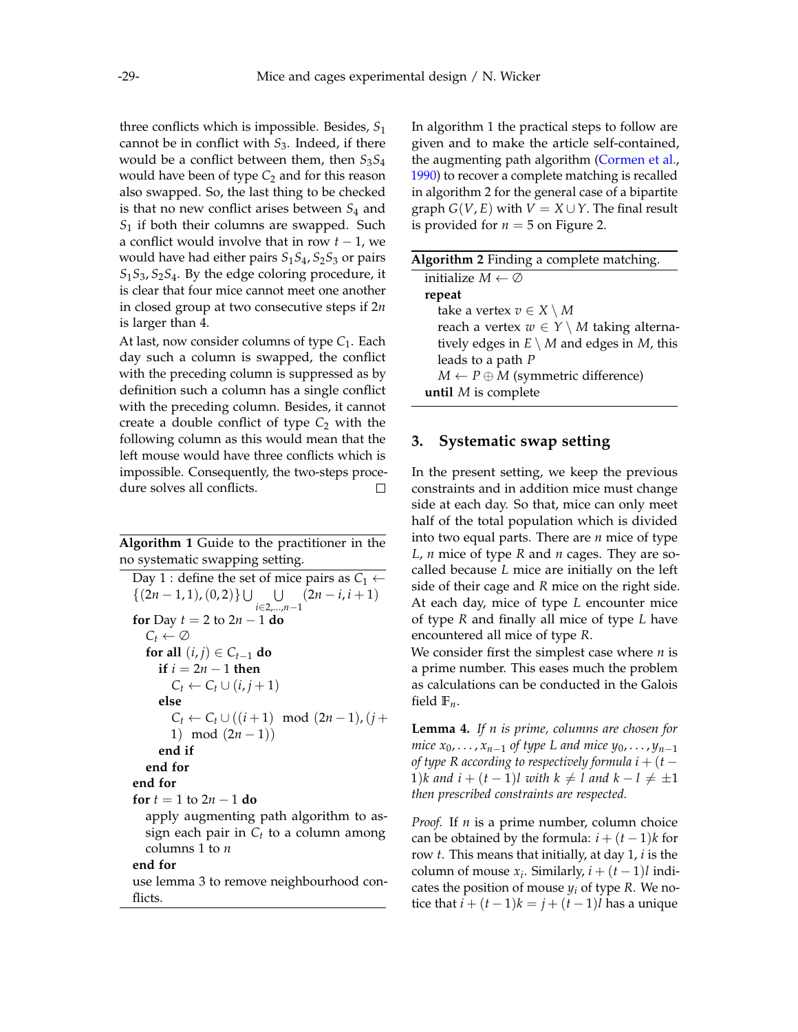three conflicts which is impossible. Besides, *S*<sup>1</sup> cannot be in conflict with *S*3. Indeed, if there would be a conflict between them, then *S*3*S*<sup>4</sup> would have been of type  $C_2$  and for this reason also swapped. So, the last thing to be checked is that no new conflict arises between *S*<sup>4</sup> and *S*<sup>1</sup> if both their columns are swapped. Such a conflict would involve that in row *t* − 1, we would have had either pairs  $S_1S_4$ ,  $S_2S_3$  or pairs *S*1*S*3, *S*2*S*4. By the edge coloring procedure, it is clear that four mice cannot meet one another in closed group at two consecutive steps if 2*n* is larger than 4.

At last, now consider columns of type  $C_1$ . Each day such a column is swapped, the conflict with the preceding column is suppressed as by definition such a column has a single conflict with the preceding column. Besides, it cannot create a double conflict of type  $C_2$  with the following column as this would mean that the left mouse would have three conflicts which is impossible. Consequently, the two-steps procedure solves all conflicts.  $\Box$ 

<span id="page-3-0"></span>**Algorithm 1** Guide to the practitioner in the no systematic swapping setting.

Day 1 : define the set of mice pairs as  $C_1 \leftarrow$  $\{(2n-1,1), (0,2)\}\cup \cup$ *i*∈2,...,*n*−1  $(2n - i, i + 1)$ **for** Day  $t = 2$  to  $2n - 1$  **do**  $C_t \leftarrow \emptyset$ **for all**  $(i, j) \in C_{t-1}$  **do if**  $i = 2n - 1$  **then**  $C_t \leftarrow C_t \cup (i, j+1)$ **else**  $C_t$  ←  $C_t$  ∪ ((*i* + 1) mod (2*n* − 1), (*j* + 1) mod  $(2n - 1)$ **end if end for end for for**  $t = 1$  to  $2n - 1$  **do** apply augmenting path algorithm to assign each pair in *C<sup>t</sup>* to a column among columns 1 to *n* **end for** use lemma [3](#page-2-1) to remove neighbourhood con-

flicts.

In algorithm [1](#page-3-0) the practical steps to follow are given and to make the article self-contained, the augmenting path algorithm [\(Cormen et al.,](#page-5-1) [1990\)](#page-5-1) to recover a complete matching is recalled in algorithm [2](#page-3-1) for the general case of a bipartite graph  $G(V, E)$  with  $V = X \cup Y$ . The final result is provided for  $n = 5$  on Figure [2.](#page-1-0)

<span id="page-3-1"></span>

| Algorithm 2 Finding a complete matching.             |
|------------------------------------------------------|
| initialize $M \leftarrow \emptyset$                  |
| repeat                                               |
| take a vertex $v \in X \setminus M$                  |
| reach a vertex $w \in Y \setminus M$ taking alterna- |
| tively edges in $E \setminus M$ and edges in M, this |
| leads to a path $P$                                  |
| $M \leftarrow P \oplus M$ (symmetric difference)     |
| until $M$ is complete                                |
|                                                      |

#### **3. Systematic swap setting**

In the present setting, we keep the previous constraints and in addition mice must change side at each day. So that, mice can only meet half of the total population which is divided into two equal parts. There are *n* mice of type *L*, *n* mice of type *R* and *n* cages. They are socalled because *L* mice are initially on the left side of their cage and *R* mice on the right side. At each day, mice of type *L* encounter mice of type *R* and finally all mice of type *L* have encountered all mice of type *R*.

We consider first the simplest case where *n* is a prime number. This eases much the problem as calculations can be conducted in the Galois field **F***n*.

**Lemma 4.** *If n is prime, columns are chosen for mice*  $x_0, ..., x_{n-1}$  *of type L and mice*  $y_0, ..., y_{n-1}$ *of type R according* to respectively formula  $i + (t -$ 1)*k* and  $i + (t - 1)l$  with  $k \neq l$  and  $k - l \neq \pm 1$ *then prescribed constraints are respected.*

*Proof.* If *n* is a prime number, column choice can be obtained by the formula:  $i + (t-1)k$  for row *t*. This means that initially, at day 1, *i* is the column of mouse  $x_i$ . Similarly,  $i + (t - 1)l$  indicates the position of mouse  $y_i$  of type  $R$ . We notice that  $i + (t-1)k = j + (t-1)l$  has a unique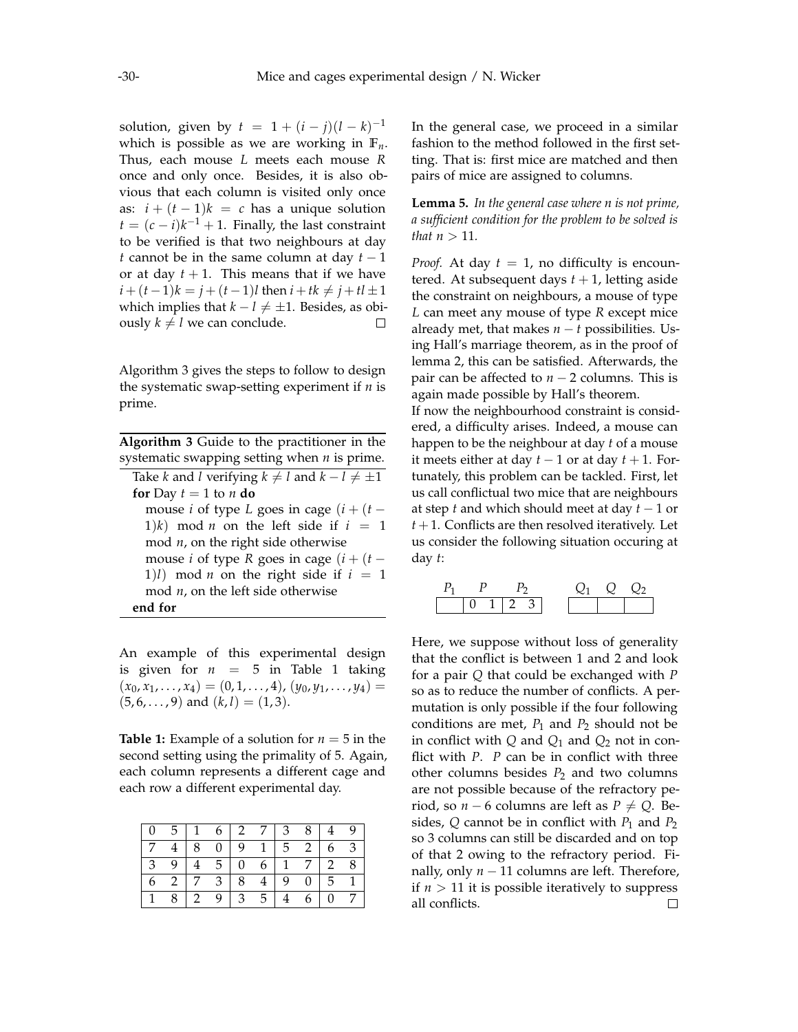solution, given by  $t = 1 + (i - j)(l - k)^{-1}$ which is possible as we are working in  $\mathbb{F}_n$ . Thus, each mouse *L* meets each mouse *R* once and only once. Besides, it is also obvious that each column is visited only once as:  $i + (t - 1)k = c$  has a unique solution  $t = (c - i)k^{-1} + 1$ . Finally, the last constraint to be verified is that two neighbours at day *t* cannot be in the same column at day *t* − 1 or at day  $t + 1$ . This means that if we have *i* +  $(t-1)$ *k* = *j* +  $(t-1)$ *l* then *i* + *tk* ≠ *j* + *tl* ± 1 which implies that  $k - l \neq \pm 1$ . Besides, as obiously  $k \neq l$  we can conclude.  $\Box$ 

Algorithm [3](#page-4-0) gives the steps to follow to design the systematic swap-setting experiment if *n* is prime.

<span id="page-4-0"></span>**Algorithm 3** Guide to the practitioner in the systematic swapping setting when *n* is prime. Take *k* and *l* verifying  $k \neq l$  and  $k - l \neq \pm 1$ **for** Day  $t = 1$  to  $n$  **do** mouse *i* of type *L* goes in cage  $(i + (t -$ 1)*k*) mod *n* on the left side if  $i = 1$ mod *n*, on the right side otherwise mouse *i* of type *R* goes in cage  $(i + (t -$ 1)*l*) mod *n* on the right side if  $i = 1$ mod *n*, on the left side otherwise **end for**

An example of this experimental design is given for  $n = 5$  in Table [1](#page-4-1) taking  $(x_0, x_1, \ldots, x_4) = (0, 1, \ldots, 4), (y_0, y_1, \ldots, y_4) =$  $(5, 6, \ldots, 9)$  and  $(k, l) = (1, 3)$ .

<span id="page-4-1"></span>**Table 1:** Example of a solution for  $n = 5$  in the second setting using the primality of 5. Again, each column represents a different cage and each row a different experimental day.

| 5 <sup>5</sup> | $\overline{1}$ |                | $6\sqrt{2}$    | $\overline{7}$   3 |   | 8 <sup>°</sup>     |                |    |
|----------------|----------------|----------------|----------------|--------------------|---|--------------------|----------------|----|
| $\overline{4}$ | 8              | $\overline{0}$ | 9              | 1 <sup>1</sup>     |   | $5\quad 2$         | 6.             | -3 |
| 9              |                | $\overline{5}$ | $\overline{0}$ | 6 <sup>1</sup>     |   | $1 \quad 7 \mid 2$ |                | -8 |
| 2   7          |                | $3^{\circ}$    | 8              |                    | 9 | $\left  0 \right $ | 5 <sup>5</sup> |    |
| 8              | $\overline{2}$ |                | $\mathcal{E}$  | 5                  |   |                    | $\theta$       |    |

In the general case, we proceed in a similar fashion to the method followed in the first setting. That is: first mice are matched and then pairs of mice are assigned to columns.

<span id="page-4-2"></span>**Lemma 5.** *In the general case where n is not prime, a sufficient condition for the problem to be solved is that*  $n > 11$ *.* 

*Proof.* At day  $t = 1$ , no difficulty is encountered. At subsequent days  $t + 1$ , letting aside the constraint on neighbours, a mouse of type *L* can meet any mouse of type *R* except mice already met, that makes  $n - t$  possibilities. Using Hall's marriage theorem, as in the proof of lemma [2,](#page-1-1) this can be satisfied. Afterwards, the pair can be affected to *n* − 2 columns. This is again made possible by Hall's theorem.

If now the neighbourhood constraint is considered, a difficulty arises. Indeed, a mouse can happen to be the neighbour at day *t* of a mouse it meets either at day  $t - 1$  or at day  $t + 1$ . Fortunately, this problem can be tackled. First, let us call conflictual two mice that are neighbours at step *t* and which should meet at day *t* − 1 or  $t + 1$ . Conflicts are then resolved iteratively. Let us consider the following situation occuring at day *t*:



Here, we suppose without loss of generality that the conflict is between 1 and 2 and look for a pair *Q* that could be exchanged with *P* so as to reduce the number of conflicts. A permutation is only possible if the four following conditions are met,  $P_1$  and  $P_2$  should not be in conflict with  $Q$  and  $Q_1$  and  $Q_2$  not in conflict with *P*. *P* can be in conflict with three other columns besides  $P_2$  and two columns are not possible because of the refractory period, so *n* − 6 columns are left as  $P \neq Q$ . Besides,  $Q$  cannot be in conflict with  $P_1$  and  $P_2$ so 3 columns can still be discarded and on top of that 2 owing to the refractory period. Finally, only  $n − 11$  columns are left. Therefore, if  $n > 11$  it is possible iteratively to suppress all conflicts. $\Box$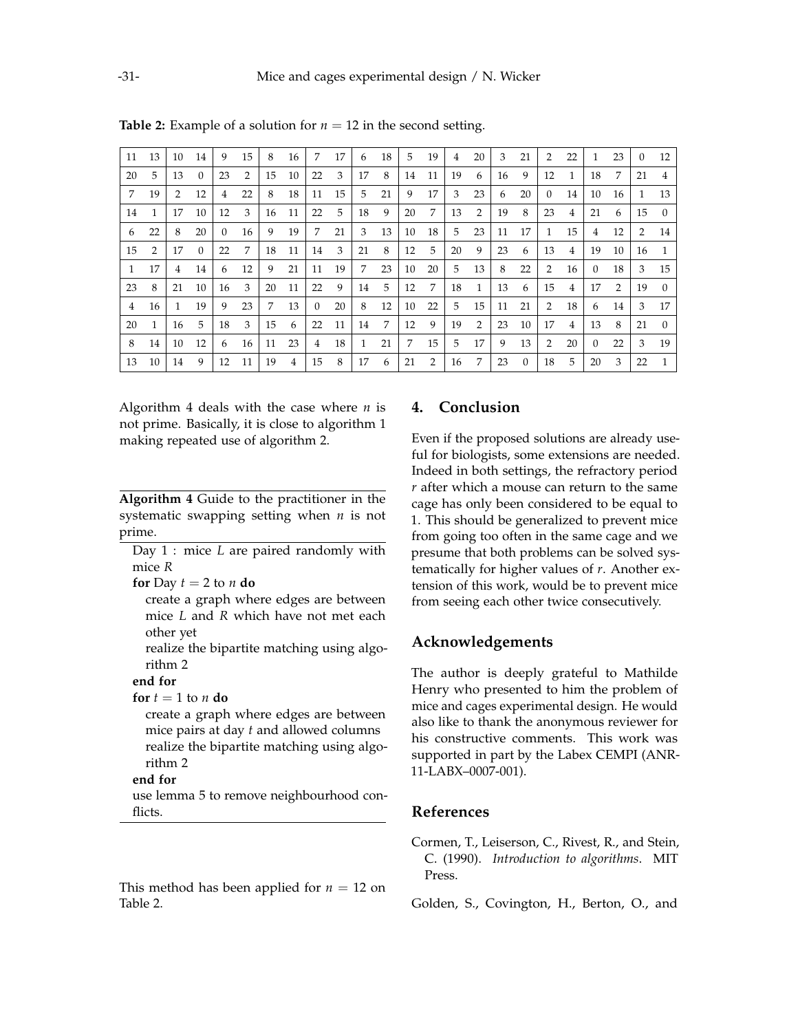| 11           | 13 | 10            | 14       | 9              | 15             | 8  | 16 | 7              | 17             | 6            | 18 | 5. | 19 | 4  | 20 | 3  | 21       | 2             | 22             | $\mathbf{1}$ | 23 | $\Omega$       | 12             |
|--------------|----|---------------|----------|----------------|----------------|----|----|----------------|----------------|--------------|----|----|----|----|----|----|----------|---------------|----------------|--------------|----|----------------|----------------|
| 20           | 5  | 13            | $\Omega$ | 23             | $\overline{2}$ | 15 | 10 | 22             | 3              | 17           | 8  | 14 | 11 | 19 | 6  | 16 | 9        | 12            | $\mathbf{1}$   | 18           | 7  | 21             | $\overline{4}$ |
| 7            | 19 | $\mathcal{P}$ | 12       | $\overline{4}$ | 22             | 8  | 18 | 11             | 15             | 5            | 21 | 9  | 17 | 3  | 23 | 6  | 20       | $\Omega$      | 14             | 10           | 16 | $\mathbf{1}$   | 13             |
| 14           | 1  | 17            | 10       | 12             | 3              | 16 | 11 | 22             | $\overline{5}$ | 18           | 9  | 20 | 7  | 13 | 2  | 19 | 8        | 23            | $\overline{4}$ | 21           | -6 | 15             | $\Omega$       |
| 6            | 22 | 8             | 20       | $\Omega$       | 16             | 9  | 19 | 7              | 21             | 3            | 13 | 10 | 18 | 5  | 23 | 11 | 17       | $\mathbf{1}$  | 15             | 4            | 12 | $\overline{2}$ | 14             |
| 15           | 2  | 17            | $\Omega$ | 22             | 7              | 18 | 11 | 14             | 3              | 21           | 8  | 12 | 5  | 20 | 9  | 23 | 6        | 13            | 4              | 19           | 10 | 16             | $\mathbf{1}$   |
| $\mathbf{1}$ | 17 | 4             | 14       | 6              | 12             | 9  | 21 | 11             | 19             | 7            | 23 | 10 | 20 | 5  | 13 | 8  | 22       | 2             | 16             | $\Omega$     | 18 | 3              | 15             |
| 23           | 8  | 21            | 10       | 16             | 3              | 20 | 11 | 22             | 9              | 14           | 5  | 12 | 7  | 18 | 1  | 13 | 6        | 15            | 4              | 17           | 2  | 19             | $\overline{0}$ |
| 4            | 16 | 1             | 19       | 9              | 23             | 7  | 13 | $\Omega$       | 20             | 8            | 12 | 10 | 22 | 5  | 15 | 11 | 21       | $\mathcal{P}$ | 18             | 6            | 14 | 3              | 17             |
| 20           | 1  | 16            | 5        | 18             | 3              | 15 | 6  | 22             | 11             | 14           | 7  | 12 | 9  | 19 | 2  | 23 | 10       | 17            | $\overline{4}$ | 13           | -8 | 21             | $\Omega$       |
| 8            | 14 | 10            | 12       | 6              | 16             | 11 | 23 | $\overline{4}$ | 18             | $\mathbf{1}$ | 21 | 7  | 15 | 5  | 17 | 9  | 13       | 2             | 20             | $\Omega$     | 22 | 3              | 19             |
| 13           | 10 | 14            | 9        | 12             | 11             | 19 | 4  | 15             | 8              | 17           | 6  | 21 | 2  | 16 | 7  | 23 | $\Omega$ | 18            | .5             | 20           | 3  | 22             | $\mathbf{1}$   |

<span id="page-5-3"></span>**Table 2:** Example of a solution for  $n = 12$  in the second setting.

Algorithm [4](#page-5-2) deals with the case where *n* is not prime. Basically, it is close to algorithm [1](#page-3-0) making repeated use of algorithm [2.](#page-3-1)

<span id="page-5-2"></span>**Algorithm 4** Guide to the practitioner in the systematic swapping setting when *n* is not prime.

Day 1 : mice *L* are paired randomly with mice *R*

**for** Day  $t = 2$  to  $n$  **do** 

create a graph where edges are between mice *L* and *R* which have not met each other yet

realize the bipartite matching using algorithm [2](#page-3-1)

#### **end for**

**for**  $t = 1$  to *n* **do** 

create a graph where edges are between mice pairs at day *t* and allowed columns realize the bipartite matching using algorithm [2](#page-3-1)

#### **end for**

use lemma [5](#page-4-2) to remove neighbourhood conflicts.

This method has been applied for  $n = 12$  on Table [2.](#page-5-3)

## **4. Conclusion**

Even if the proposed solutions are already useful for biologists, some extensions are needed. Indeed in both settings, the refractory period *r* after which a mouse can return to the same cage has only been considered to be equal to 1. This should be generalized to prevent mice from going too often in the same cage and we presume that both problems can be solved systematically for higher values of *r*. Another extension of this work, would be to prevent mice from seeing each other twice consecutively.

### **Acknowledgements**

The author is deeply grateful to Mathilde Henry who presented to him the problem of mice and cages experimental design. He would also like to thank the anonymous reviewer for his constructive comments. This work was supported in part by the Labex CEMPI (ANR-11-LABX–0007-001).

#### **References**

<span id="page-5-1"></span>Cormen, T., Leiserson, C., Rivest, R., and Stein, C. (1990). *Introduction to algorithms*. MIT Press.

<span id="page-5-0"></span>Golden, S., Covington, H., Berton, O., and